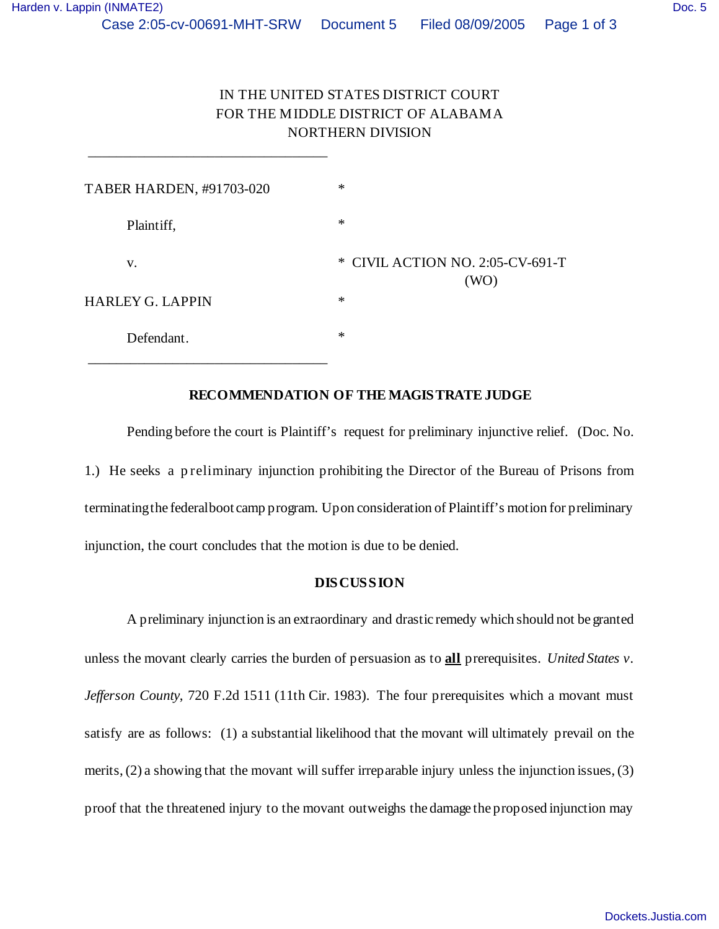| TABER HARDEN, #91703-020 | $\ast$                                   |
|--------------------------|------------------------------------------|
| Plaintiff,               | $\ast$                                   |
| V.                       | * CIVIL ACTION NO. 2:05-CV-691-T<br>(WO) |
| <b>HARLEY G. LAPPIN</b>  | $\ast$                                   |
| Defendant.               | $\ast$                                   |

\_\_\_\_\_\_\_\_\_\_\_\_\_\_\_\_\_\_\_\_\_\_\_\_\_\_\_\_\_\_\_\_\_\_

## **RECOMMENDATION OF THE MAGISTRATE JUDGE**

Pending before the court is Plaintiff's request for preliminary injunctive relief. (Doc. No. 1.) He seeks a p reliminary injunction prohibiting the Director of the Bureau of Prisons from terminating the federal boot camp program. Upon consideration of Plaintiff's motion for preliminary injunction, the court concludes that the motion is due to be denied.

## **DISCUSSION**

A preliminary injunction is an extraordinary and drastic remedy which should not be granted unless the movant clearly carries the burden of persuasion as to **all** prerequisites. *United States v. Jefferson County*, 720 F.2d 1511 (11th Cir. 1983). The four prerequisites which a movant must satisfy are as follows: (1) a substantial likelihood that the movant will ultimately prevail on the merits, (2) a showing that the movant will suffer irreparable injury unless the injunction issues, (3) proof that the threatened injury to the movant outweighs the damage the proposed injunction may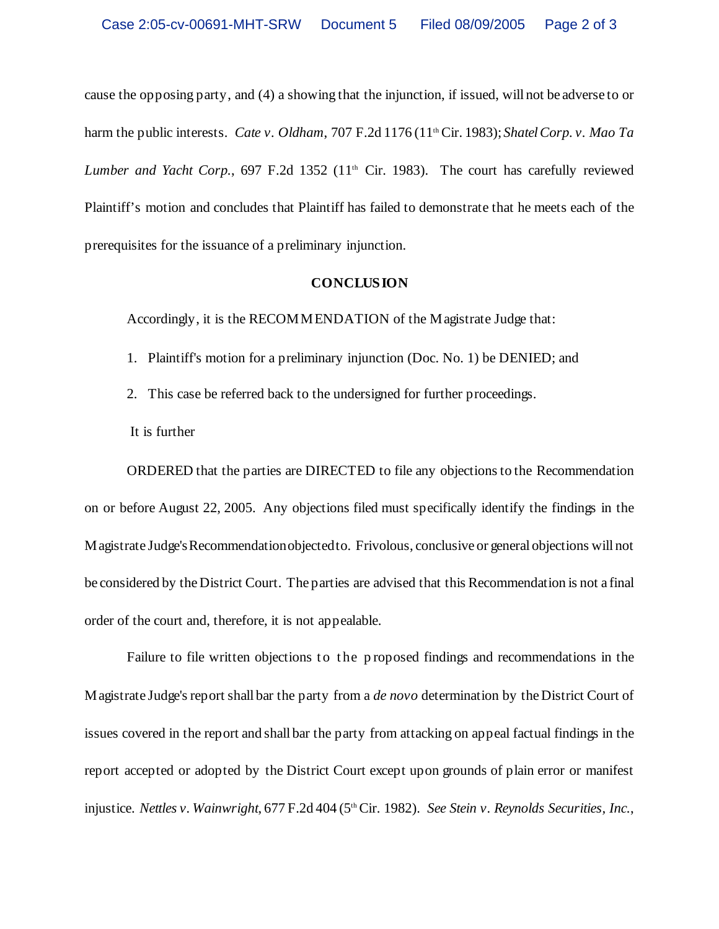cause the opposing party, and (4) a showing that the injunction, if issued, will not be adverse to or harm the public interests. *Cate v. Oldham*, 707 F.2d 1176 (11th Cir. 1983); *Shatel Corp. v. Mao Ta Lumber and Yacht Corp.*, 697 F.2d 1352 (11<sup>th</sup> Cir. 1983). The court has carefully reviewed Plaintiff's motion and concludes that Plaintiff has failed to demonstrate that he meets each of the prerequisites for the issuance of a preliminary injunction.

## **CONCLUSION**

Accordingly, it is the RECOMMENDATION of the Magistrate Judge that:

- 1. Plaintiff's motion for a preliminary injunction (Doc. No. 1) be DENIED; and
- 2. This case be referred back to the undersigned for further proceedings.
- It is further

ORDERED that the parties are DIRECTED to file any objections to the Recommendation on or before August 22, 2005. Any objections filed must specifically identify the findings in the Magistrate Judge's Recommendation objected to. Frivolous, conclusive or general objections will not be considered by the District Court. The parties are advised that this Recommendation is not a final order of the court and, therefore, it is not appealable.

Failure to file written objections to the proposed findings and recommendations in the Magistrate Judge's report shall bar the party from a *de novo* determination by the District Court of issues covered in the report and shall bar the party from attacking on appeal factual findings in the report accepted or adopted by the District Court except upon grounds of plain error or manifest injustice. *Nettles v. Wainwright*, 677 F.2d 404 (5<sup>th</sup> Cir. 1982). *See Stein v. Reynolds Securities, Inc.*,